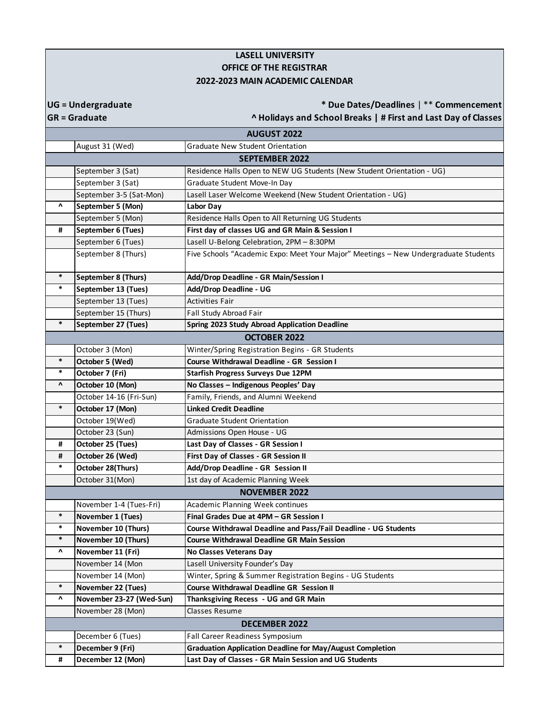## **LASELL UNIVERSITY OFFICE OF THE REGISTRAR 2022-2023 MAIN ACADEMIC CALENDAR**

**UG = Undergraduate**

**\* Due Dates/Deadlines** | \*\* **Commencement**

**GR = Graduate**

**^ Holidays and School Breaks | # First and Last Day of Classes**

|                                 |                          | <b>AUGUST 2022</b>                                                                  |
|---------------------------------|--------------------------|-------------------------------------------------------------------------------------|
|                                 | August 31 (Wed)          | Graduate New Student Orientation                                                    |
|                                 |                          | <b>SEPTEMBER 2022</b>                                                               |
|                                 | September 3 (Sat)        | Residence Halls Open to NEW UG Students (New Student Orientation - UG)              |
|                                 | September 3 (Sat)        | Graduate Student Move-In Day                                                        |
|                                 | September 3-5 (Sat-Mon)  | Lasell Laser Welcome Weekend (New Student Orientation - UG)                         |
| $\pmb{\Lambda}$                 | September 5 (Mon)        | Labor Day                                                                           |
|                                 | September 5 (Mon)        | Residence Halls Open to All Returning UG Students                                   |
| #                               | September 6 (Tues)       | First day of classes UG and GR Main & Session I                                     |
|                                 | September 6 (Tues)       | Lasell U-Belong Celebration, 2PM - 8:30PM                                           |
|                                 | September 8 (Thurs)      | Five Schools "Academic Expo: Meet Your Major" Meetings - New Undergraduate Students |
| $\ast$                          | September 8 (Thurs)      | Add/Drop Deadline - GR Main/Session I                                               |
| $\ast$                          | September 13 (Tues)      | Add/Drop Deadline - UG                                                              |
|                                 | September 13 (Tues)      | <b>Activities Fair</b>                                                              |
|                                 | September 15 (Thurs)     | Fall Study Abroad Fair                                                              |
| $\ast$                          | September 27 (Tues)      | Spring 2023 Study Abroad Application Deadline                                       |
|                                 |                          | <b>OCTOBER 2022</b>                                                                 |
|                                 | October 3 (Mon)          | Winter/Spring Registration Begins - GR Students                                     |
| $\ast$                          | October 5 (Wed)          | Course Withdrawal Deadline - GR Session I                                           |
| $\ast$                          | October 7 (Fri)          | <b>Starfish Progress Surveys Due 12PM</b>                                           |
| $\pmb{\Lambda}$                 | October 10 (Mon)         | No Classes - Indigenous Peoples' Day                                                |
|                                 | October 14-16 (Fri-Sun)  | Family, Friends, and Alumni Weekend                                                 |
| $\ast$                          | October 17 (Mon)         | <b>Linked Credit Deadline</b>                                                       |
|                                 | October 19(Wed)          | <b>Graduate Student Orientation</b>                                                 |
|                                 | October 23 (Sun)         | Admissions Open House - UG                                                          |
| #                               | October 25 (Tues)        | Last Day of Classes - GR Session I                                                  |
| #                               | October 26 (Wed)         | First Day of Classes - GR Session II                                                |
| $\ast$                          | October 28(Thurs)        | Add/Drop Deadline - GR Session II                                                   |
|                                 | October 31(Mon)          | 1st day of Academic Planning Week                                                   |
|                                 |                          | <b>NOVEMBER 2022</b>                                                                |
|                                 | November 1-4 (Tues-Fri)  | Academic Planning Week continues                                                    |
| $\ast$                          | November 1 (Tues)        | Final Grades Due at 4PM - GR Session I                                              |
| $\ast$                          | November 10 (Thurs)      | Course Withdrawal Deadline and Pass/Fail Deadline - UG Students                     |
| $\ast$                          | November 10 (Thurs)      | <b>Course Withdrawal Deadline GR Main Session</b>                                   |
| Λ                               | November 11 (Fri)        | <b>No Classes Veterans Day</b>                                                      |
|                                 | November 14 (Mon         | Lasell University Founder's Day                                                     |
|                                 | November 14 (Mon)        | Winter, Spring & Summer Registration Begins - UG Students                           |
| $\ast$                          | November 22 (Tues)       | <b>Course Withdrawal Deadline GR Session II</b>                                     |
| $\boldsymbol{\mathsf{\Lambda}}$ | November 23-27 (Wed-Sun) | Thanksgiving Recess - UG and GR Main                                                |
|                                 | November 28 (Mon)        | <b>Classes Resume</b>                                                               |
| <b>DECEMBER 2022</b>            |                          |                                                                                     |
|                                 | December 6 (Tues)        | Fall Career Readiness Symposium                                                     |
| $\ast$                          | December 9 (Fri)         | <b>Graduation Application Deadline for May/August Completion</b>                    |
| #                               | December 12 (Mon)        | Last Day of Classes - GR Main Session and UG Students                               |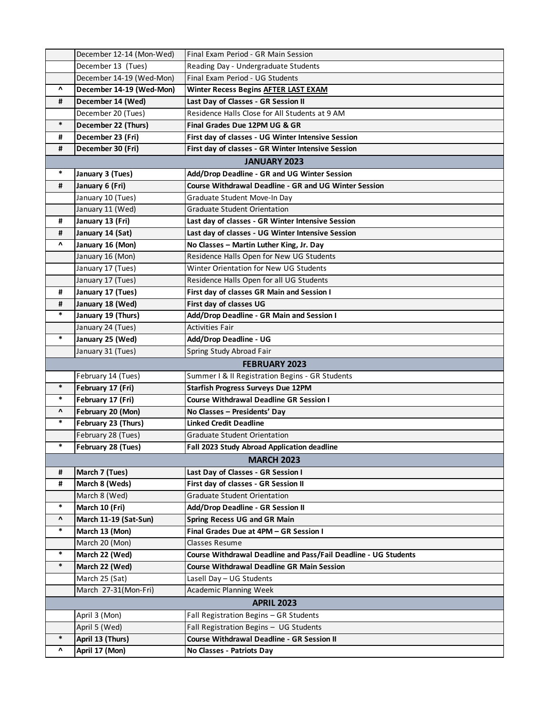|                                 | December 12-14 (Mon-Wed) | Final Exam Period - GR Main Session                             |
|---------------------------------|--------------------------|-----------------------------------------------------------------|
|                                 | December 13 (Tues)       | Reading Day - Undergraduate Students                            |
|                                 | December 14-19 (Wed-Mon) | Final Exam Period - UG Students                                 |
| $\pmb{\Lambda}$                 | December 14-19 (Wed-Mon) | Winter Recess Begins AFTER LAST EXAM                            |
| #                               | December 14 (Wed)        | Last Day of Classes - GR Session II                             |
|                                 | December 20 (Tues)       | Residence Halls Close for All Students at 9 AM                  |
| $\ast$                          | December 22 (Thurs)      | Final Grades Due 12PM UG & GR                                   |
| #                               | December 23 (Fri)        | First day of classes - UG Winter Intensive Session              |
| #                               | December 30 (Fri)        | First day of classes - GR Winter Intensive Session              |
|                                 |                          | <b>JANUARY 2023</b>                                             |
| $\ast$                          | January 3 (Tues)         | Add/Drop Deadline - GR and UG Winter Session                    |
| #                               | January 6 (Fri)          | Course Withdrawal Deadline - GR and UG Winter Session           |
|                                 | January 10 (Tues)        | Graduate Student Move-In Day                                    |
|                                 | January 11 (Wed)         | Graduate Student Orientation                                    |
| #                               | January 13 (Fri)         | Last day of classes - GR Winter Intensive Session               |
| #                               | January 14 (Sat)         | Last day of classes - UG Winter Intensive Session               |
| Λ                               | January 16 (Mon)         | No Classes - Martin Luther King, Jr. Day                        |
|                                 | January 16 (Mon)         | Residence Halls Open for New UG Students                        |
|                                 | January 17 (Tues)        | Winter Orientation for New UG Students                          |
|                                 | January 17 (Tues)        | Residence Halls Open for all UG Students                        |
| #                               | January 17 (Tues)        | First day of classes GR Main and Session I                      |
| #                               | January 18 (Wed)         | First day of classes UG                                         |
| $\ast$                          | January 19 (Thurs)       | Add/Drop Deadline - GR Main and Session I                       |
|                                 | January 24 (Tues)        | <b>Activities Fair</b>                                          |
| $\ast$                          | January 25 (Wed)         | Add/Drop Deadline - UG                                          |
|                                 | January 31 (Tues)        | Spring Study Abroad Fair                                        |
|                                 |                          | <b>FEBRUARY 2023</b>                                            |
|                                 | February 14 (Tues)       | Summer   & II Registration Begins - GR Students                 |
| $\ast$                          | February 17 (Fri)        | <b>Starfish Progress Surveys Due 12PM</b>                       |
| $\ast$                          | February 17 (Fri)        | <b>Course Withdrawal Deadline GR Session I</b>                  |
| $\boldsymbol{\mathsf{\Lambda}}$ | February 20 (Mon)        | No Classes - Presidents' Day                                    |
| $\ast$                          | February 23 (Thurs)      | <b>Linked Credit Deadline</b>                                   |
|                                 | February 28 (Tues)       | <b>Graduate Student Orientation</b>                             |
| *                               | February 28 (Tues)       | Fall 2023 Study Abroad Application deadline                     |
|                                 |                          | <b>MARCH 2023</b>                                               |
| #                               | March 7 (Tues)           | Last Day of Classes - GR Session I                              |
| #                               | March 8 (Weds)           | First day of classes - GR Session II                            |
|                                 | March 8 (Wed)            | <b>Graduate Student Orientation</b>                             |
| $\ast$                          | March 10 (Fri)           | Add/Drop Deadline - GR Session II                               |
| $\boldsymbol{\mathsf{\Lambda}}$ | March 11-19 (Sat-Sun)    | <b>Spring Recess UG and GR Main</b>                             |
| $\ast$                          | March 13 (Mon)           | Final Grades Due at 4PM - GR Session I                          |
|                                 | March 20 (Mon)           | <b>Classes Resume</b>                                           |
| $\ast$                          | March 22 (Wed)           | Course Withdrawal Deadline and Pass/Fail Deadline - UG Students |
| $\ast$                          | March 22 (Wed)           | <b>Course Withdrawal Deadline GR Main Session</b>               |
|                                 | March 25 (Sat)           | Lasell Day - UG Students                                        |
|                                 | March 27-31(Mon-Fri)     | Academic Planning Week                                          |
|                                 |                          | <b>APRIL 2023</b>                                               |
|                                 | April 3 (Mon)            | Fall Registration Begins - GR Students                          |
|                                 | April 5 (Wed)            | Fall Registration Begins - UG Students                          |
| $\ast$                          | April 13 (Thurs)         | <b>Course Withdrawal Deadline - GR Session II</b>               |
| $\boldsymbol{\mathsf{\Lambda}}$ | April 17 (Mon)           | No Classes - Patriots Day                                       |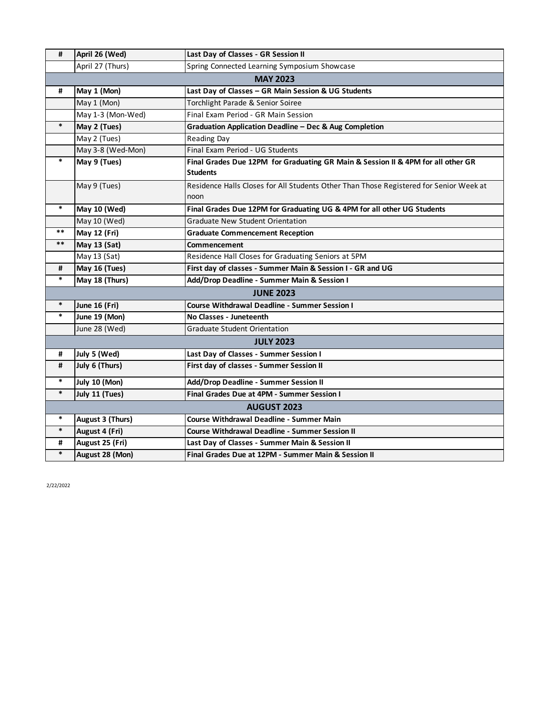| #      | April 26 (Wed)      | Last Day of Classes - GR Session II                                                                 |
|--------|---------------------|-----------------------------------------------------------------------------------------------------|
|        | April 27 (Thurs)    | Spring Connected Learning Symposium Showcase                                                        |
|        |                     | <b>MAY 2023</b>                                                                                     |
| #      | May 1 (Mon)         | Last Day of Classes - GR Main Session & UG Students                                                 |
|        | May 1 (Mon)         | Torchlight Parade & Senior Soiree                                                                   |
|        | May 1-3 (Mon-Wed)   | Final Exam Period - GR Main Session                                                                 |
| $\ast$ | May 2 (Tues)        | <b>Graduation Application Deadline - Dec &amp; Aug Completion</b>                                   |
|        | May 2 (Tues)        | <b>Reading Day</b>                                                                                  |
|        | May 3-8 (Wed-Mon)   | Final Exam Period - UG Students                                                                     |
| $\ast$ | May 9 (Tues)        | Final Grades Due 12PM for Graduating GR Main & Session II & 4PM for all other GR<br><b>Students</b> |
|        | May 9 (Tues)        | Residence Halls Closes for All Students Other Than Those Registered for Senior Week at<br>noon      |
| $\ast$ | May 10 (Wed)        | Final Grades Due 12PM for Graduating UG & 4PM for all other UG Students                             |
|        | May 10 (Wed)        | <b>Graduate New Student Orientation</b>                                                             |
| $***$  | May 12 (Fri)        | <b>Graduate Commencement Reception</b>                                                              |
| $***$  | <b>May 13 (Sat)</b> | Commencement                                                                                        |
|        | May 13 (Sat)        | Residence Hall Closes for Graduating Seniors at 5PM                                                 |
| #      | May 16 (Tues)       | First day of classes - Summer Main & Session I - GR and UG                                          |
| $\ast$ | May 18 (Thurs)      | Add/Drop Deadline - Summer Main & Session I                                                         |
|        |                     | <b>JUNE 2023</b>                                                                                    |
| $\ast$ | June 16 (Fri)       | <b>Course Withdrawal Deadline - Summer Session I</b>                                                |
| $\ast$ | June 19 (Mon)       | No Classes - Juneteenth                                                                             |
|        | June 28 (Wed)       | <b>Graduate Student Orientation</b>                                                                 |
|        |                     | <b>JULY 2023</b>                                                                                    |
| #      | July 5 (Wed)        | Last Day of Classes - Summer Session I                                                              |
| #      | July 6 (Thurs)      | First day of classes - Summer Session II                                                            |
| $\ast$ | July 10 (Mon)       | Add/Drop Deadline - Summer Session II                                                               |
| $\ast$ | July 11 (Tues)      | Final Grades Due at 4PM - Summer Session I                                                          |
|        |                     | <b>AUGUST 2023</b>                                                                                  |
| $\ast$ | August 3 (Thurs)    | Course Withdrawal Deadline - Summer Main                                                            |
| $\ast$ | August 4 (Fri)      | Course Withdrawal Deadline - Summer Session II                                                      |
| #      | August 25 (Fri)     | Last Day of Classes - Summer Main & Session II                                                      |
| $\ast$ | August 28 (Mon)     | Final Grades Due at 12PM - Summer Main & Session II                                                 |

2/22/2022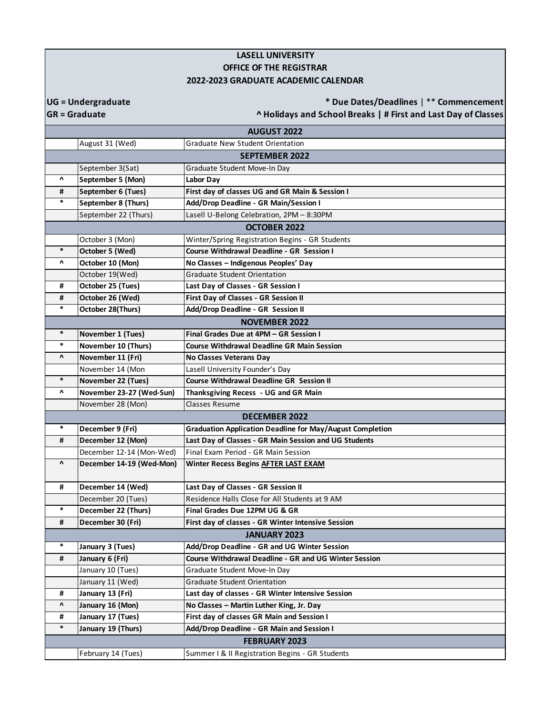## **LASELL UNIVERSITY OFFICE OF THE REGISTRAR 2022-2023 GRADUATE ACADEMIC CALENDAR**

**UG = Undergraduate**

**GR = Graduate**

**\* Due Dates/Deadlines** | \*\* **Commencement ^ Holidays and School Breaks | # First and Last Day of Classes**

August 31 (Wed) Graduate New Student Orientation September 3(Sat) Graduate Student Move-In Day **^ September 5 (Mon) Labor Day # September 6 (Tues) First day of classes UG and GR Main & Session I \* September 8 (Thurs) Add/Drop Deadline - GR Main/Session I** September 22 (Thurs) Lasell U-Belong Celebration, 2PM – 8:30PM October 3 (Mon) Winter/Spring Registration Begins - GR Students **\* October 5 (Wed) Course Withdrawal Deadline - GR Session I ^ October 10 (Mon) No Classes – Indigenous Peoples' Day** October 19(Wed) Graduate Student Orientation **# October 25 (Tues) Last Day of Classes - GR Session I # October 26 (Wed) First Day of Classes - GR Session II October 28(Thurs) Add/Drop Deadline - GR Session II \* November 1 (Tues) Final Grades Due at 4PM – GR Session I \* November 10 (Thurs) Course Withdrawal Deadline GR Main Session ^ November 11 (Fri) No Classes Veterans Day** November 14 (Mon Lasell University Founder's Day **November 22 (Tues) Course Withdrawal Deadline GR Session II ^ November 23-27 (Wed-Sun) Thanksgiving Recess - UG and GR Main** November 28 (Mon) Classes Resume **December 9 (Fri) Graduation Application Deadline for May/August Completion # December 12 (Mon) Last Day of Classes - GR Main Session and UG Students** December 12-14 (Mon-Wed) Final Exam Period - GR Main Session **^ December 14-19 (Wed-Mon) Winter Recess Begins AFTER LAST EXAM # December 14 (Wed) Last Day of Classes - GR Session II** December 20 (Tues) Residence Halls Close for All Students at 9 AM **\* December 22 (Thurs) Final Grades Due 12PM UG & GR # December 30 (Fri) First day of classes - GR Winter Intensive Session \* January 3 (Tues) Add/Drop Deadline - GR and UG Winter Session # January 6 (Fri) Course Withdrawal Deadline - GR and UG Winter Session** January 10 (Tues) Graduate Student Move-In Day January 11 (Wed) Graduate Student Orientation **# January 13 (Fri) Last day of classes - GR Winter Intensive Session ^ January 16 (Mon) No Classes – Martin Luther King, Jr. Day # January 17 (Tues) First day of classes GR Main and Session I \* January 19 (Thurs) Add/Drop Deadline - GR Main and Session I** February 14 (Tues) Summer I & II Registration Begins - GR Students **AUGUST 2022 SEPTEMBER 2022 OCTOBER 2022 NOVEMBER 2022 DECEMBER 2022 JANUARY 2023 FEBRUARY 2023**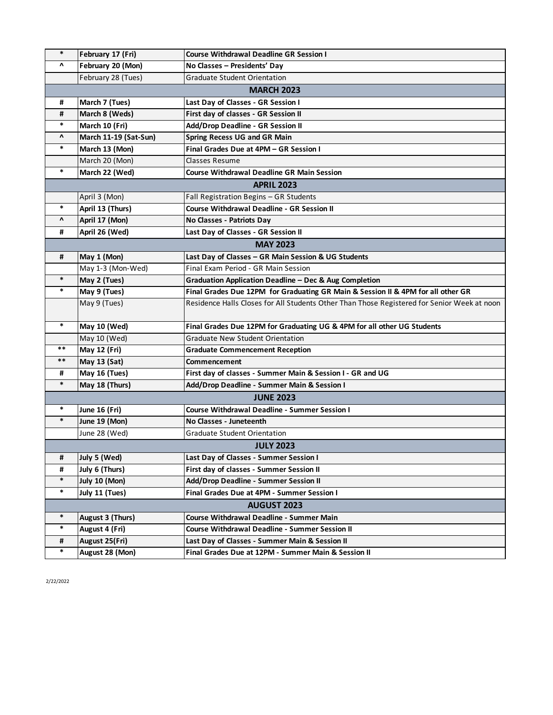| $\ast$             | February 17 (Fri)     | <b>Course Withdrawal Deadline GR Session I</b>                                              |
|--------------------|-----------------------|---------------------------------------------------------------------------------------------|
| Λ                  | February 20 (Mon)     | No Classes - Presidents' Day                                                                |
|                    | February 28 (Tues)    | <b>Graduate Student Orientation</b>                                                         |
|                    |                       | <b>MARCH 2023</b>                                                                           |
| #                  | March 7 (Tues)        | Last Day of Classes - GR Session I                                                          |
| #                  | March 8 (Weds)        | First day of classes - GR Session II                                                        |
| $\ast$             | March 10 (Fri)        | Add/Drop Deadline - GR Session II                                                           |
| ν                  | March 11-19 (Sat-Sun) | <b>Spring Recess UG and GR Main</b>                                                         |
| $\ast$             | March 13 (Mon)        | Final Grades Due at 4PM - GR Session I                                                      |
|                    | March 20 (Mon)        | Classes Resume                                                                              |
| $\ast$             | March 22 (Wed)        | <b>Course Withdrawal Deadline GR Main Session</b>                                           |
|                    |                       | <b>APRIL 2023</b>                                                                           |
|                    | April 3 (Mon)         | Fall Registration Begins - GR Students                                                      |
| $\ast$             | April 13 (Thurs)      | <b>Course Withdrawal Deadline - GR Session II</b>                                           |
| Λ                  | April 17 (Mon)        | No Classes - Patriots Day                                                                   |
| #                  | April 26 (Wed)        | Last Day of Classes - GR Session II                                                         |
|                    |                       | <b>MAY 2023</b>                                                                             |
| #                  | May 1 (Mon)           | Last Day of Classes - GR Main Session & UG Students                                         |
|                    | May 1-3 (Mon-Wed)     | Final Exam Period - GR Main Session                                                         |
| $\ast$             | May 2 (Tues)          | Graduation Application Deadline - Dec & Aug Completion                                      |
| $\ast$             | May 9 (Tues)          | Final Grades Due 12PM for Graduating GR Main & Session II & 4PM for all other GR            |
|                    | May 9 (Tues)          | Residence Halls Closes for All Students Other Than Those Registered for Senior Week at noon |
| $\ast$             | May 10 (Wed)          | Final Grades Due 12PM for Graduating UG & 4PM for all other UG Students                     |
|                    | May 10 (Wed)          | <b>Graduate New Student Orientation</b>                                                     |
| $\ast\ast$         | <b>May 12 (Fri)</b>   | <b>Graduate Commencement Reception</b>                                                      |
| $***$              | May 13 (Sat)          | Commencement                                                                                |
| #                  | May 16 (Tues)         | First day of classes - Summer Main & Session I - GR and UG                                  |
| $\ast$             | May 18 (Thurs)        | Add/Drop Deadline - Summer Main & Session I                                                 |
|                    |                       | <b>JUNE 2023</b>                                                                            |
| $\ast$             | <b>June 16 (Fri)</b>  | <b>Course Withdrawal Deadline - Summer Session I</b>                                        |
| $\ast$             | June 19 (Mon)         | No Classes - Juneteenth                                                                     |
|                    | June 28 (Wed)         | <b>Graduate Student Orientation</b>                                                         |
|                    |                       | <b>JULY 2023</b>                                                                            |
| #                  | July 5 (Wed)          | Last Day of Classes - Summer Session I                                                      |
| #                  | July 6 (Thurs)        | First day of classes - Summer Session II                                                    |
| $\ast$             | July 10 (Mon)         | Add/Drop Deadline - Summer Session II                                                       |
| $\ast$             | July 11 (Tues)        | Final Grades Due at 4PM - Summer Session I                                                  |
| <b>AUGUST 2023</b> |                       |                                                                                             |
| $\ast$             | August 3 (Thurs)      | Course Withdrawal Deadline - Summer Main                                                    |
| $\ast$             | August 4 (Fri)        | <b>Course Withdrawal Deadline - Summer Session II</b>                                       |
| #                  | August 25(Fri)        | Last Day of Classes - Summer Main & Session II                                              |
| $\ast$             | August 28 (Mon)       | Final Grades Due at 12PM - Summer Main & Session II                                         |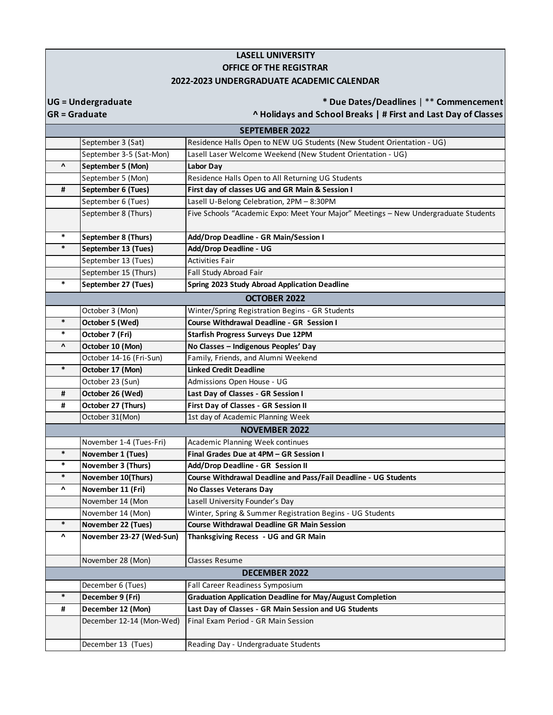## **LASELL UNIVERSITY OFFICE OF THE REGISTRAR 2022-2023 UNDERGRADUATE ACADEMIC CALENDAR**

**UG = Undergraduate**

**\* Due Dates/Deadlines** | \*\* **Commencement**

**GR = Graduate**

**^ Holidays and School Breaks | # First and Last Day of Classes**

|                 |                          | <b>SEPTEMBER 2022</b>                                                               |
|-----------------|--------------------------|-------------------------------------------------------------------------------------|
|                 | September 3 (Sat)        | Residence Halls Open to NEW UG Students (New Student Orientation - UG)              |
|                 | September 3-5 (Sat-Mon)  | Lasell Laser Welcome Weekend (New Student Orientation - UG)                         |
| $\pmb{\Lambda}$ | September 5 (Mon)        | Labor Day                                                                           |
|                 | September 5 (Mon)        | Residence Halls Open to All Returning UG Students                                   |
| #               | September 6 (Tues)       | First day of classes UG and GR Main & Session I                                     |
|                 | September 6 (Tues)       | Lasell U-Belong Celebration, 2PM - 8:30PM                                           |
|                 | September 8 (Thurs)      | Five Schools "Academic Expo: Meet Your Major" Meetings - New Undergraduate Students |
|                 |                          |                                                                                     |
| $\ast$          | September 8 (Thurs)      | Add/Drop Deadline - GR Main/Session I                                               |
| $\ast$          | September 13 (Tues)      | Add/Drop Deadline - UG                                                              |
|                 | September 13 (Tues)      | <b>Activities Fair</b>                                                              |
|                 | September 15 (Thurs)     | Fall Study Abroad Fair                                                              |
| $\ast$          | September 27 (Tues)      | Spring 2023 Study Abroad Application Deadline                                       |
|                 |                          | <b>OCTOBER 2022</b>                                                                 |
|                 | October 3 (Mon)          | Winter/Spring Registration Begins - GR Students                                     |
| $\ast$          | October 5 (Wed)          | Course Withdrawal Deadline - GR Session I                                           |
| $\ast$          | October 7 (Fri)          | <b>Starfish Progress Surveys Due 12PM</b>                                           |
| Λ               | October 10 (Mon)         | No Classes - Indigenous Peoples' Day                                                |
|                 | October 14-16 (Fri-Sun)  | Family, Friends, and Alumni Weekend                                                 |
| $\ast$          | October 17 (Mon)         | <b>Linked Credit Deadline</b>                                                       |
|                 | October 23 (Sun)         | Admissions Open House - UG                                                          |
| #               | October 26 (Wed)         | Last Day of Classes - GR Session I                                                  |
| #               | October 27 (Thurs)       | First Day of Classes - GR Session II                                                |
|                 | October 31(Mon)          | 1st day of Academic Planning Week                                                   |
|                 |                          | <b>NOVEMBER 2022</b>                                                                |
|                 | November 1-4 (Tues-Fri)  | Academic Planning Week continues                                                    |
| $\ast$          | November 1 (Tues)        | Final Grades Due at 4PM - GR Session I                                              |
| $\ast$          | November 3 (Thurs)       | Add/Drop Deadline - GR Session II                                                   |
| $\ast$          | November 10(Thurs)       | Course Withdrawal Deadline and Pass/Fail Deadline - UG Students                     |
| Λ               | November 11 (Fri)        | No Classes Veterans Day                                                             |
|                 | November 14 (Mon         | Lasell University Founder's Day                                                     |
|                 | November 14 (Mon)        | Winter, Spring & Summer Registration Begins - UG Students                           |
| $\ast$          | November 22 (Tues)       | <b>Course Withdrawal Deadline GR Main Session</b>                                   |
| ۸               | November 23-27 (Wed-Sun) | Thanksgiving Recess - UG and GR Main                                                |
|                 |                          |                                                                                     |
|                 | November 28 (Mon)        | Classes Resume                                                                      |
|                 |                          | <b>DECEMBER 2022</b>                                                                |
|                 | December 6 (Tues)        | Fall Career Readiness Symposium                                                     |
| $\ast$          | December 9 (Fri)         | <b>Graduation Application Deadline for May/August Completion</b>                    |
| #               | December 12 (Mon)        | Last Day of Classes - GR Main Session and UG Students                               |
|                 | December 12-14 (Mon-Wed) | Final Exam Period - GR Main Session                                                 |
|                 |                          |                                                                                     |
|                 | December 13 (Tues)       | Reading Day - Undergraduate Students                                                |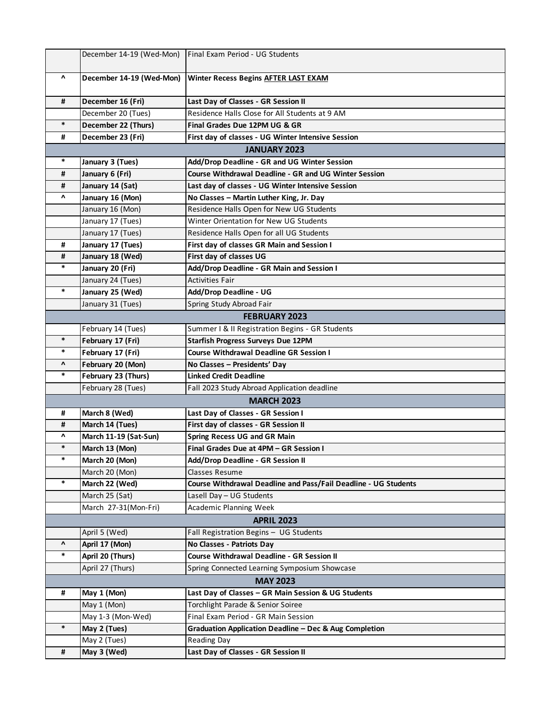|                 | December 14-19 (Wed-Mon) | Final Exam Period - UG Students                                 |  |
|-----------------|--------------------------|-----------------------------------------------------------------|--|
| Λ               | December 14-19 (Wed-Mon) | Winter Recess Begins AFTER LAST EXAM                            |  |
| #               | December 16 (Fri)        | Last Day of Classes - GR Session II                             |  |
|                 | December 20 (Tues)       | Residence Halls Close for All Students at 9 AM                  |  |
| $\ast$          | December 22 (Thurs)      | Final Grades Due 12PM UG & GR                                   |  |
| #               | December 23 (Fri)        | First day of classes - UG Winter Intensive Session              |  |
|                 |                          | <b>JANUARY 2023</b>                                             |  |
| *               | January 3 (Tues)         | Add/Drop Deadline - GR and UG Winter Session                    |  |
| #               | January 6 (Fri)          | Course Withdrawal Deadline - GR and UG Winter Session           |  |
| #               | January 14 (Sat)         | Last day of classes - UG Winter Intensive Session               |  |
| v               | January 16 (Mon)         | No Classes - Martin Luther King, Jr. Day                        |  |
|                 | January 16 (Mon)         | Residence Halls Open for New UG Students                        |  |
|                 | January 17 (Tues)        | Winter Orientation for New UG Students                          |  |
|                 | January 17 (Tues)        | Residence Halls Open for all UG Students                        |  |
| #               | January 17 (Tues)        | First day of classes GR Main and Session I                      |  |
| #               | January 18 (Wed)         | First day of classes UG                                         |  |
| $\ast$          | January 20 (Fri)         | Add/Drop Deadline - GR Main and Session I                       |  |
|                 | January 24 (Tues)        | <b>Activities Fair</b>                                          |  |
| $\ast$          | January 25 (Wed)         | Add/Drop Deadline - UG                                          |  |
|                 | January 31 (Tues)        | Spring Study Abroad Fair                                        |  |
|                 |                          | <b>FEBRUARY 2023</b>                                            |  |
|                 | February 14 (Tues)       | Summer I & II Registration Begins - GR Students                 |  |
| $\ast$          | February 17 (Fri)        | <b>Starfish Progress Surveys Due 12PM</b>                       |  |
| $\ast$          | February 17 (Fri)        | <b>Course Withdrawal Deadline GR Session I</b>                  |  |
| $\pmb{\Lambda}$ | February 20 (Mon)        | No Classes - Presidents' Day                                    |  |
| $\ast$          | February 23 (Thurs)      | <b>Linked Credit Deadline</b>                                   |  |
|                 | February 28 (Tues)       | Fall 2023 Study Abroad Application deadline                     |  |
|                 |                          | <b>MARCH 2023</b>                                               |  |
| #               | March 8 (Wed)            | Last Day of Classes - GR Session I                              |  |
| #               | March 14 (Tues)          | First day of classes - GR Session II                            |  |
| Λ               | March 11-19 (Sat-Sun)    | <b>Spring Recess UG and GR Main</b>                             |  |
| $\ast$          | March 13 (Mon)           | Final Grades Due at 4PM - GR Session I                          |  |
| $\ast$          | March 20 (Mon)           | Add/Drop Deadline - GR Session II                               |  |
|                 | March 20 (Mon)           | <b>Classes Resume</b>                                           |  |
| $\ast$          | March 22 (Wed)           | Course Withdrawal Deadline and Pass/Fail Deadline - UG Students |  |
|                 | March 25 (Sat)           | Lasell Day - UG Students                                        |  |
|                 | March 27-31(Mon-Fri)     | <b>Academic Planning Week</b>                                   |  |
|                 |                          | <b>APRIL 2023</b>                                               |  |
|                 | April 5 (Wed)            | Fall Registration Begins - UG Students                          |  |
| Λ               | April 17 (Mon)           | No Classes - Patriots Day                                       |  |
| $\ast$          | April 20 (Thurs)         | Course Withdrawal Deadline - GR Session II                      |  |
|                 | April 27 (Thurs)         | Spring Connected Learning Symposium Showcase                    |  |
|                 | <b>MAY 2023</b>          |                                                                 |  |
| #               | May 1 (Mon)              | Last Day of Classes - GR Main Session & UG Students             |  |
|                 | May 1 (Mon)              | Torchlight Parade & Senior Soiree                               |  |
|                 | May 1-3 (Mon-Wed)        | Final Exam Period - GR Main Session                             |  |
| $\ast$          | May 2 (Tues)             | Graduation Application Deadline - Dec & Aug Completion          |  |
|                 | May 2 (Tues)             | Reading Day                                                     |  |
| #               | May 3 (Wed)              | Last Day of Classes - GR Session II                             |  |
|                 |                          |                                                                 |  |